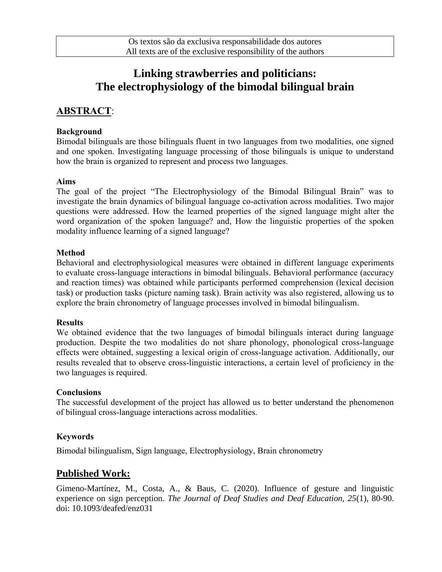# **Linking strawberries and politicians: The electrophysiology of the bimodal bilingual brain**

## **ABSTRACT**:

#### **Background**

Bimodal bilinguals are those bilinguals fluent in two languages from two modalities, one signed and one spoken. Investigating language processing of those bilinguals is unique to understand how the brain is organized to represent and process two languages.

#### **Aims**

The goal of the project "The Electrophysiology of the Bimodal Bilingual Brain" was to investigate the brain dynamics of bilingual language co-activation across modalities. Two major questions were addressed. How the learned properties of the signed language might alter the word organization of the spoken language? and, How the linguistic properties of the spoken modality influence learning of a signed language?

#### **Method**

Behavioral and electrophysiological measures were obtained in different language experiments to evaluate cross-language interactions in bimodal bilinguals. Behavioral performance (accuracy and reaction times) was obtained while participants performed comprehension (lexical decision task) or production tasks (picture naming task). Brain activity was also registered, allowing us to explore the brain chronometry of language processes involved in bimodal bilingualism.

#### **Results**

We obtained evidence that the two languages of bimodal bilinguals interact during language production. Despite the two modalities do not share phonology, phonological cross-language effects were obtained, suggesting a lexical origin of cross-language activation. Additionally, our results revealed that to observe cross-linguistic interactions, a certain level of proficiency in the two languages is required.

#### **Conclusions**

The successful development of the project has allowed us to better understand the phenomenon of bilingual cross-language interactions across modalities.

#### **Keywords**

Bimodal bilingualism, Sign language, Electrophysiology, Brain chronometry

## **Published Work:**

Gimeno-Martínez, M., Costa, A., & Baus, C. (2020). Influence of gesture and linguistic experience on sign perception. *The Journal of Deaf Studies and Deaf Education, 25*(1), 80-90. doi: 10.1093/deafed/enz031